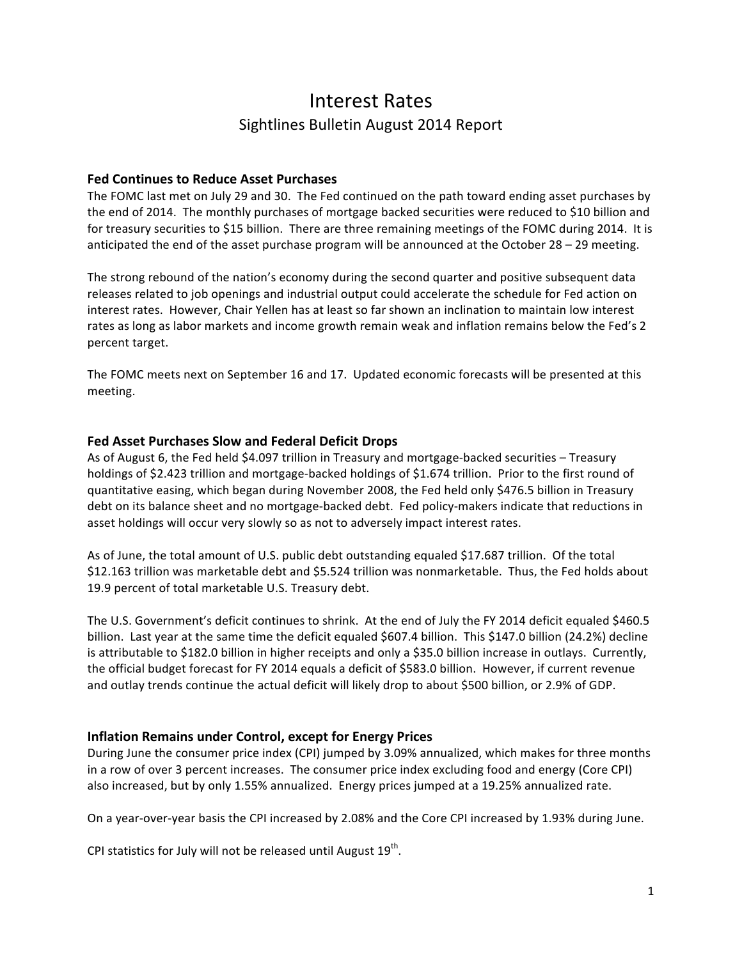# Interest"Rates Sightlines Bulletin August 2014 Report

#### **Fed Continues to Reduce Asset Purchases**

The FOMC last met on July 29 and 30. The Fed continued on the path toward ending asset purchases by the end of 2014. The monthly purchases of mortgage backed securities were reduced to \$10 billion and for treasury securities to \$15 billion. There are three remaining meetings of the FOMC during 2014. It is anticipated the end of the asset purchase program will be announced at the October  $28 - 29$  meeting.

The strong rebound of the nation's economy during the second quarter and positive subsequent data releases related to job openings and industrial output could accelerate the schedule for Fed action on interest rates. However, Chair Yellen has at least so far shown an inclination to maintain low interest rates as long as labor markets and income growth remain weak and inflation remains below the Fed's 2 percent target.

The FOMC meets next on September 16 and 17. Updated economic forecasts will be presented at this meeting.

## **Fed Asset Purchases Slow and Federal Deficit Drops**

As of August 6, the Fed held \$4.097 trillion in Treasury and mortgage-backed securities – Treasury holdings of \$2.423 trillion and mortgage-backed holdings of \$1.674 trillion. Prior to the first round of quantitative easing, which began during November 2008, the Fed held only \$476.5 billion in Treasury debt on its balance sheet and no mortgage-backed debt. Fed policy-makers indicate that reductions in asset holdings will occur very slowly so as not to adversely impact interest rates.

As of June, the total amount of U.S. public debt outstanding equaled \$17.687 trillion. Of the total \$12.163 trillion was marketable debt and \$5.524 trillion was nonmarketable. Thus, the Fed holds about 19.9 percent of total marketable U.S. Treasury debt.

The U.S. Government's deficit continues to shrink. At the end of July the FY 2014 deficit equaled \$460.5 billion. Last year at the same time the deficit equaled \$607.4 billion. This \$147.0 billion (24.2%) decline is attributable to \$182.0 billion in higher receipts and only a \$35.0 billion increase in outlays. Currently, the official budget forecast for FY 2014 equals a deficit of \$583.0 billion. However, if current revenue and outlay trends continue the actual deficit will likely drop to about \$500 billion, or 2.9% of GDP.

# **Inflation Remains under Control, except for Energy Prices**

During June the consumer price index (CPI) jumped by 3.09% annualized, which makes for three months in a row of over 3 percent increases. The consumer price index excluding food and energy (Core CPI) also increased, but by only 1.55% annualized. Energy prices jumped at a 19.25% annualized rate.

On a year-over-year basis the CPI increased by 2.08% and the Core CPI increased by 1.93% during June.

CPI statistics for July will not be released until August 19<sup>th</sup>.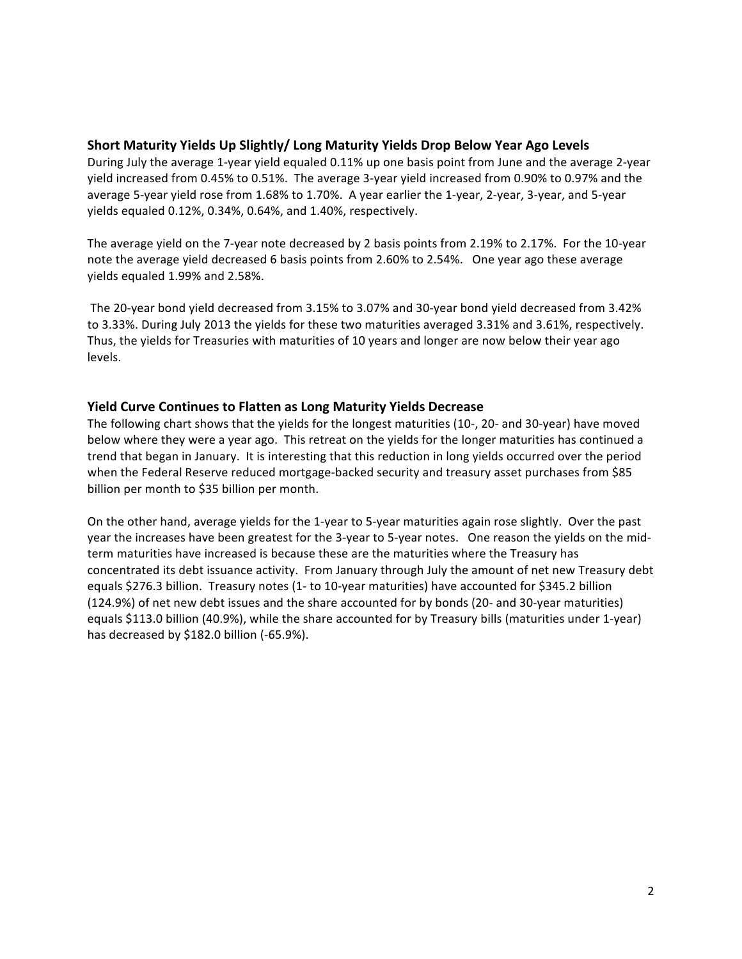## Short Maturity Yields Up Slightly/ Long Maturity Yields Drop Below Year Ago Levels

During July the average 1-year yield equaled 0.11% up one basis point from June and the average 2-year yield increased from 0.45% to 0.51%. The average 3-year yield increased from 0.90% to 0.97% and the average 5-year yield rose from 1.68% to 1.70%. A year earlier the 1-year, 2-year, 3-year, and 5-year yields equaled  $0.12\%$ ,  $0.34\%$ ,  $0.64\%$ , and  $1.40\%$ , respectively.

The average yield on the 7-year note decreased by 2 basis points from 2.19% to 2.17%. For the 10-year note the average yield decreased 6 basis points from 2.60% to 2.54%. One year ago these average yields equaled 1.99% and 2.58%.

The 20-year bond yield decreased from 3.15% to 3.07% and 30-year bond yield decreased from 3.42% to 3.33%. During July 2013 the yields for these two maturities averaged 3.31% and 3.61%, respectively. Thus, the yields for Treasuries with maturities of 10 years and longer are now below their year ago levels.

## **Yield Curve Continues to Flatten as Long Maturity Yields Decrease**

The following chart shows that the yields for the longest maturities (10-, 20- and 30-year) have moved below where they were a year ago. This retreat on the yields for the longer maturities has continued a trend that began in January. It is interesting that this reduction in long yields occurred over the period when the Federal Reserve reduced mortgage-backed security and treasury asset purchases from \$85 billion per month to \$35 billion per month.

On the other hand, average yields for the 1-year to 5-year maturities again rose slightly. Over the past year the increases have been greatest for the 3-year to 5-year notes. One reason the yields on the midterm maturities have increased is because these are the maturities where the Treasury has concentrated its debt issuance activity. "From January through July the amount of net new Treasury debt equals \$276.3 billion. Treasury notes (1- to 10-year maturities) have accounted for \$345.2 billion (124.9%) of net new debt issues and the share accounted for by bonds (20- and 30-year maturities) equals \$113.0 billion (40.9%), while the share accounted for by Treasury bills (maturities under 1-year) has decreased by \$182.0 billion (-65.9%).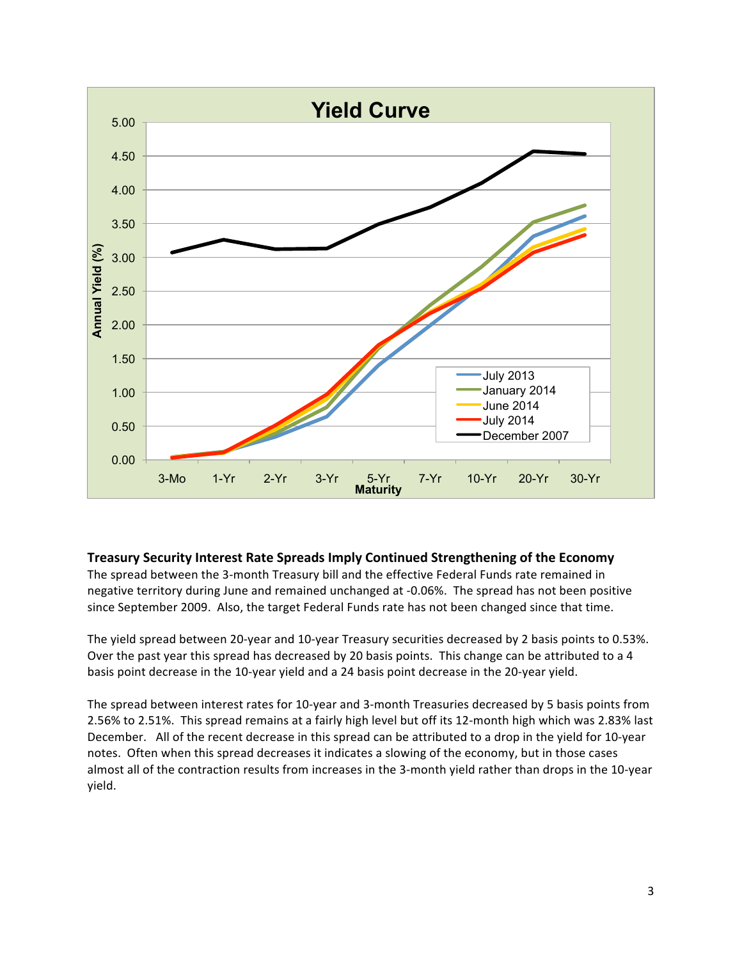

#### **Treasury Security Interest Rate Spreads Imply Continued Strengthening of the Economy**

The spread between the 3-month Treasury bill and the effective Federal Funds rate remained in negative territory during June and remained unchanged at -0.06%. The spread has not been positive since September 2009. Also, the target Federal Funds rate has not been changed since that time.

The yield spread between 20-year and 10-year Treasury securities decreased by 2 basis points to 0.53%. Over the past year this spread has decreased by 20 basis points. This change can be attributed to a 4 basis point decrease in the 10-year yield and a 24 basis point decrease in the 20-year yield.

The spread between interest rates for 10-year and 3-month Treasuries decreased by 5 basis points from 2.56% to 2.51%. This spread remains at a fairly high level but off its 12-month high which was 2.83% last December. "All of the recent decrease in this spread can be attributed to a drop in the yield for 10-year notes. Often when this spread decreases it indicates a slowing of the economy, but in those cases almost all of the contraction results from increases in the 3-month yield rather than drops in the 10-year yield.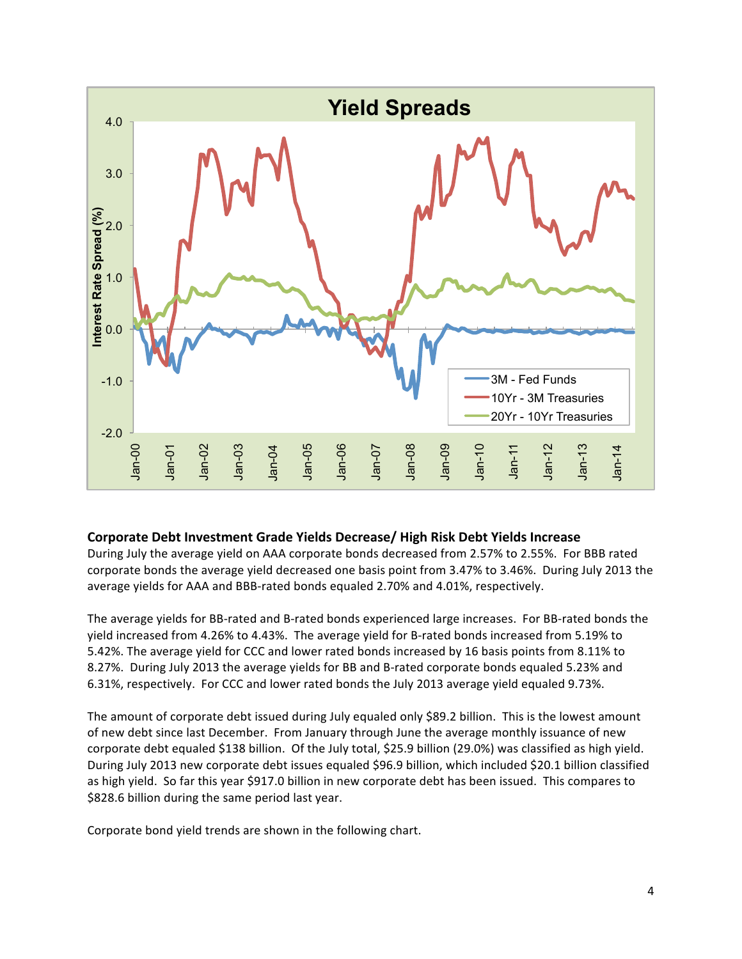

#### **Corporate Debt Investment Grade Yields Decrease/ High Risk Debt Yields Increase**

During July the average yield on AAA corporate bonds decreased from 2.57% to 2.55%. For BBB rated corporate bonds the average yield decreased one basis point from 3.47% to 3.46%. During July 2013 the average yields for AAA and BBB-rated bonds equaled 2.70% and 4.01%, respectively.

The average yields for BB-rated and B-rated bonds experienced large increases. For BB-rated bonds the yield increased from 4.26% to 4.43%. The average yield for B-rated bonds increased from 5.19% to 5.42%. The average yield for CCC and lower rated bonds increased by 16 basis points from 8.11% to 8.27%. During July 2013 the average yields for BB and B-rated corporate bonds equaled 5.23% and 6.31%, respectively. For CCC and lower rated bonds the July 2013 average yield equaled 9.73%.

The amount of corporate debt issued during July equaled only \$89.2 billion. This is the lowest amount of new debt since last December. From January through June the average monthly issuance of new corporate debt equaled \$138 billion. Of the July total, \$25.9 billion (29.0%) was classified as high yield. During July 2013 new corporate debt issues equaled \$96.9 billion, which included \$20.1 billion classified as high yield. So far this year \$917.0 billion in new corporate debt has been issued. This compares to \$828.6 billion during the same period last year.

Corporate bond yield trends are shown in the following chart.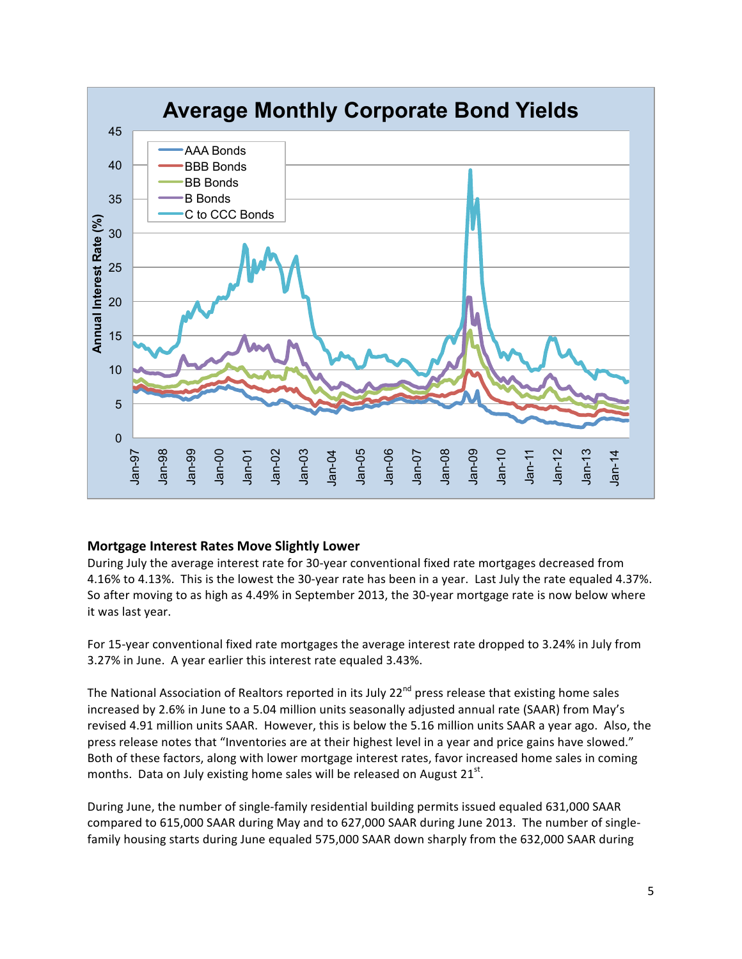

# **Mortgage Interest Rates Move Slightly Lower**

During July the average interest rate for 30-year conventional fixed rate mortgages decreased from 4.16% to 4.13%. This is the lowest the 30-year rate has been in a year. Last July the rate equaled 4.37%. So after moving to as high as 4.49% in September 2013, the 30-year mortgage rate is now below where it was last year.

For 15-year conventional fixed rate mortgages the average interest rate dropped to 3.24% in July from 3.27% in June. A year earlier this interest rate equaled 3.43%.

The National Association of Realtors reported in its July 22<sup>nd</sup> press release that existing home sales increased by 2.6% in June to a 5.04 million units seasonally adjusted annual rate (SAAR) from May's revised 4.91 million units SAAR. However, this is below the 5.16 million units SAAR a year ago. Also, the press release notes that "Inventories are at their highest level in a year and price gains have slowed." Both of these factors, along with lower mortgage interest rates, favor increased home sales in coming months. Data on July existing home sales will be released on August  $21<sup>st</sup>$ .

During June, the number of single-family residential building permits issued equaled 631,000 SAAR compared to 615,000 SAAR during May and to 627,000 SAAR during June 2013. The number of singlefamily housing starts during June equaled 575,000 SAAR down sharply from the 632,000 SAAR during